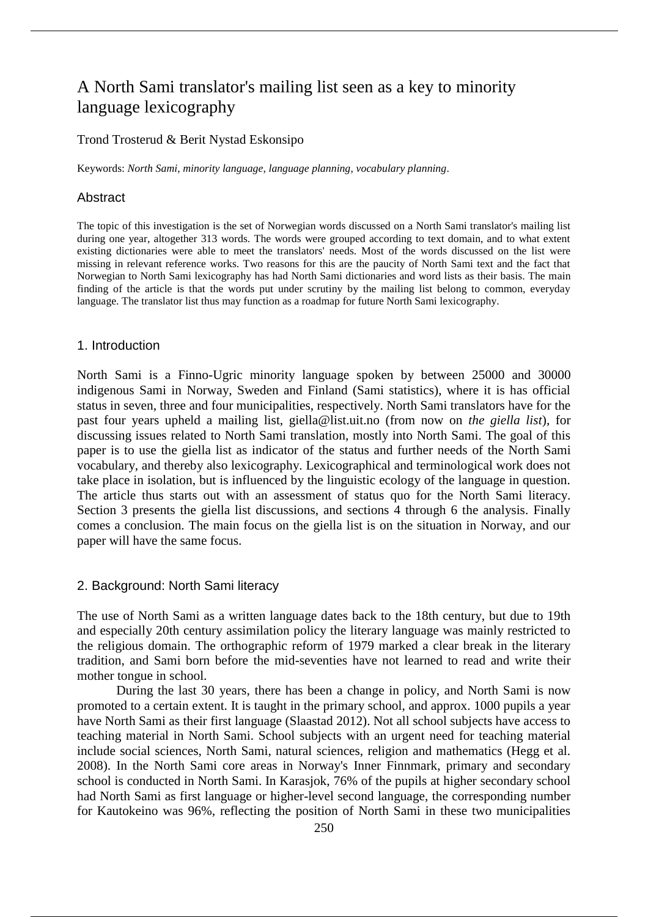# A North Sami translator's mailing list seen as a key to minority language lexicography

# Trond Trosterud & Berit Nystad Eskonsipo

Keywords: *North Sami*, *minority language*, *language planning*, *vocabulary planning*.

#### Abstract

The topic of this investigation is the set of Norwegian words discussed on a North Sami translator's mailing list during one year, altogether 313 words. The words were grouped according to text domain, and to what extent existing dictionaries were able to meet the translators' needs. Most of the words discussed on the list were missing in relevant reference works. Two reasons for this are the paucity of North Sami text and the fact that Norwegian to North Sami lexicography has had North Sami dictionaries and word lists as their basis. The main finding of the article is that the words put under scrutiny by the mailing list belong to common, everyday language. The translator list thus may function as a roadmap for future North Sami lexicography.

#### 1. Introduction

North Sami is a Finno-Ugric minority language spoken by between 25000 and 30000 indigenous Sami in Norway, Sweden and Finland (Sami statistics), where it is has official status in seven, three and four municipalities, respectively. North Sami translators have for the past four years upheld a mailing list, giella@list.uit.no (from now on *the giella list*), for discussing issues related to North Sami translation, mostly into North Sami. The goal of this paper is to use the giella list as indicator of the status and further needs of the North Sami vocabulary, and thereby also lexicography. Lexicographical and terminological work does not take place in isolation, but is influenced by the linguistic ecology of the language in question. The article thus starts out with an assessment of status quo for the North Sami literacy. Section 3 presents the giella list discussions, and sections 4 through 6 the analysis. Finally comes a conclusion. The main focus on the giella list is on the situation in Norway, and our paper will have the same focus.

#### 2. Background: North Sami literacy

The use of North Sami as a written language dates back to the 18th century, but due to 19th and especially 20th century assimilation policy the literary language was mainly restricted to the religious domain. The orthographic reform of 1979 marked a clear break in the literary tradition, and Sami born before the mid-seventies have not learned to read and write their mother tongue in school.

During the last 30 years, there has been a change in policy, and North Sami is now promoted to a certain extent. It is taught in the primary school, and approx. 1000 pupils a year have North Sami as their first language (Slaastad 2012). Not all school subjects have access to teaching material in North Sami. School subjects with an urgent need for teaching material include social sciences, North Sami, natural sciences, religion and mathematics (Hegg et al. 2008). In the North Sami core areas in Norway's Inner Finnmark, primary and secondary school is conducted in North Sami. In Karasjok, 76% of the pupils at higher secondary school had North Sami as first language or higher-level second language, the corresponding number for Kautokeino was 96%, reflecting the position of North Sami in these two municipalities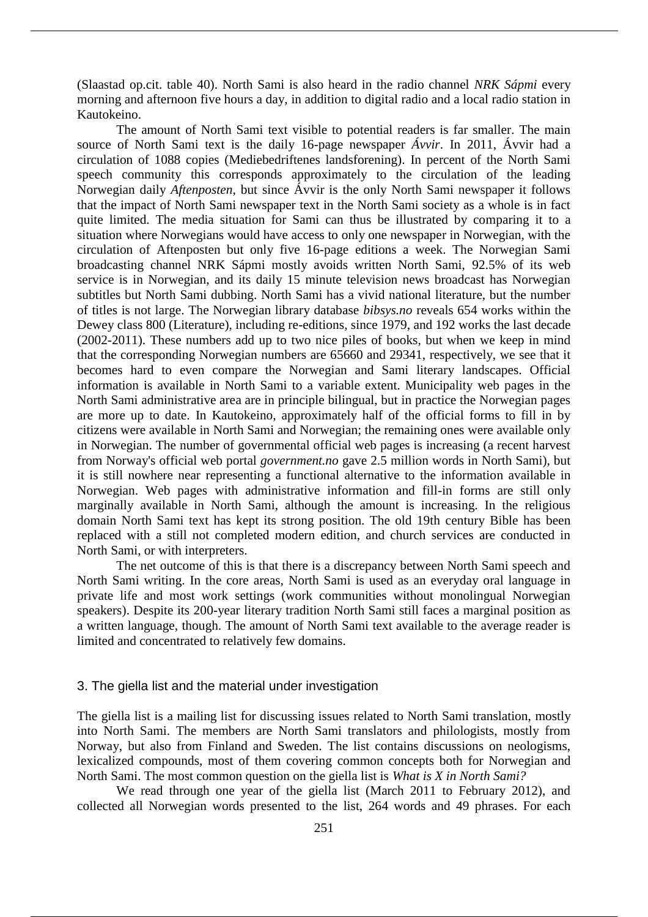(Slaastad op.cit. table 40). North Sami is also heard in the radio channel *NRK Sápmi* every morning and afternoon five hours a day, in addition to digital radio and a local radio station in Kautokeino.

The amount of North Sami text visible to potential readers is far smaller. The main source of North Sami text is the daily 16-page newspaper *Ávvir*. In 2011, Ávvir had a circulation of 1088 copies (Mediebedriftenes landsforening). In percent of the North Sami speech community this corresponds approximately to the circulation of the leading Norwegian daily *Aftenposten*, but since Ávvir is the only North Sami newspaper it follows that the impact of North Sami newspaper text in the North Sami society as a whole is in fact quite limited. The media situation for Sami can thus be illustrated by comparing it to a situation where Norwegians would have access to only one newspaper in Norwegian, with the circulation of Aftenposten but only five 16-page editions a week. The Norwegian Sami broadcasting channel NRK Sápmi mostly avoids written North Sami, 92.5% of its web service is in Norwegian, and its daily 15 minute television news broadcast has Norwegian subtitles but North Sami dubbing. North Sami has a vivid national literature, but the number of titles is not large. The Norwegian library database *bibsys.no* reveals 654 works within the Dewey class 800 (Literature), including re-editions, since 1979, and 192 works the last decade (2002-2011). These numbers add up to two nice piles of books, but when we keep in mind that the corresponding Norwegian numbers are 65660 and 29341, respectively, we see that it becomes hard to even compare the Norwegian and Sami literary landscapes. Official information is available in North Sami to a variable extent. Municipality web pages in the North Sami administrative area are in principle bilingual, but in practice the Norwegian pages are more up to date. In Kautokeino, approximately half of the official forms to fill in by citizens were available in North Sami and Norwegian; the remaining ones were available only in Norwegian. The number of governmental official web pages is increasing (a recent harvest from Norway's official web portal *government.no* gave 2.5 million words in North Sami), but it is still nowhere near representing a functional alternative to the information available in Norwegian. Web pages with administrative information and fill-in forms are still only marginally available in North Sami, although the amount is increasing. In the religious domain North Sami text has kept its strong position. The old 19th century Bible has been replaced with a still not completed modern edition, and church services are conducted in North Sami, or with interpreters.

The net outcome of this is that there is a discrepancy between North Sami speech and North Sami writing. In the core areas, North Sami is used as an everyday oral language in private life and most work settings (work communities without monolingual Norwegian speakers). Despite its 200-year literary tradition North Sami still faces a marginal position as a written language, though. The amount of North Sami text available to the average reader is limited and concentrated to relatively few domains.

# 3. The giella list and the material under investigation

The giella list is a mailing list for discussing issues related to North Sami translation, mostly into North Sami. The members are North Sami translators and philologists, mostly from Norway, but also from Finland and Sweden. The list contains discussions on neologisms, lexicalized compounds, most of them covering common concepts both for Norwegian and North Sami. The most common question on the giella list is *What is X in North Sami?*

We read through one year of the giella list (March 2011 to February 2012), and collected all Norwegian words presented to the list, 264 words and 49 phrases. For each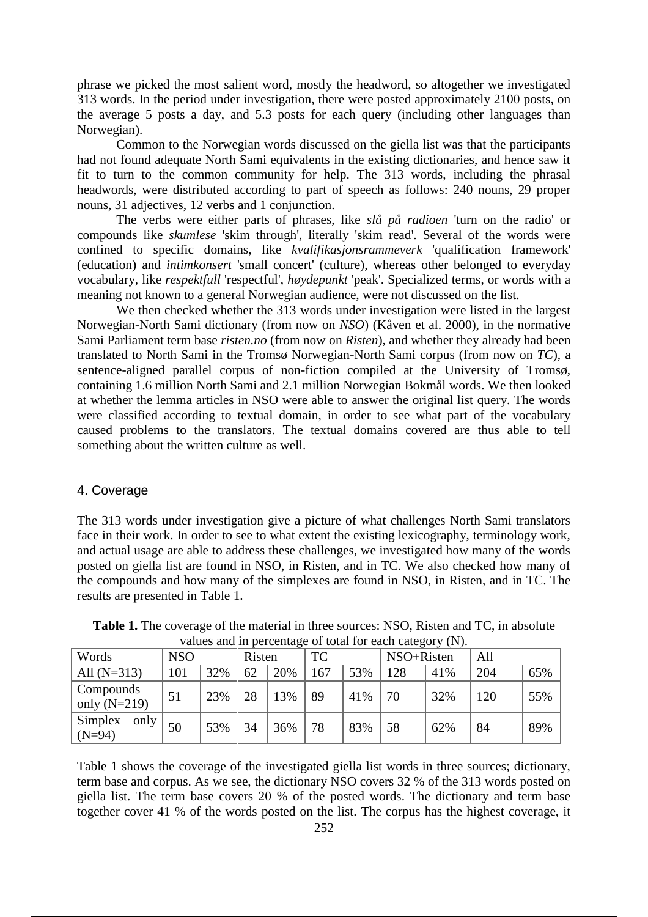phrase we picked the most salient word, mostly the headword, so altogether we investigated 313 words. In the period under investigation, there were posted approximately 2100 posts, on the average 5 posts a day, and 5.3 posts for each query (including other languages than Norwegian).

Common to the Norwegian words discussed on the giella list was that the participants had not found adequate North Sami equivalents in the existing dictionaries, and hence saw it fit to turn to the common community for help. The 313 words, including the phrasal headwords, were distributed according to part of speech as follows: 240 nouns, 29 proper nouns, 31 adjectives, 12 verbs and 1 conjunction.

The verbs were either parts of phrases, like *slå på radioen* 'turn on the radio' or compounds like *skumlese* 'skim through', literally 'skim read'. Several of the words were confined to specific domains, like *kvalifikasjonsrammeverk* 'qualification framework' (education) and *intimkonsert* 'small concert' (culture), whereas other belonged to everyday vocabulary, like *respektfull* 'respectful', *høydepunkt* 'peak'. Specialized terms, or words with a meaning not known to a general Norwegian audience, were not discussed on the list.

We then checked whether the 313 words under investigation were listed in the largest Norwegian-North Sami dictionary (from now on *NSO*) (Kåven et al. 2000), in the normative Sami Parliament term base *risten.no* (from now on *Risten*), and whether they already had been translated to North Sami in the Tromsø Norwegian-North Sami corpus (from now on *TC*), a sentence-aligned parallel corpus of non-fiction compiled at the University of Tromsø, containing 1.6 million North Sami and 2.1 million Norwegian Bokmål words. We then looked at whether the lemma articles in NSO were able to answer the original list query. The words were classified according to textual domain, in order to see what part of the vocabulary caused problems to the translators. The textual domains covered are thus able to tell something about the written culture as well.

### 4. Coverage

The 313 words under investigation give a picture of what challenges North Sami translators face in their work. In order to see to what extent the existing lexicography, terminology work, and actual usage are able to address these challenges, we investigated how many of the words posted on giella list are found in NSO, in Risten, and in TC. We also checked how many of the compounds and how many of the simplexes are found in NSO, in Risten, and in TC. The results are presented in Table 1.

| Words                       | <b>NSO</b> |     | Risten |     | TC  |     | NSO+Risten |     | All |     |
|-----------------------------|------------|-----|--------|-----|-----|-----|------------|-----|-----|-----|
| All $(N=313)$               | 101        | 32% | 62     | 20% | 167 | 53% | 128        | 41% | 204 | 65% |
| Compounds<br>only $(N=219)$ | 51         | 23% | 28     | 13% | 89  | 41% | 70         | 32% | 120 | 55% |
| Simplex<br>only<br>$(N=94)$ | 50         | 53% | 34     | 36% | 78  | 83% | 58         | 62% | 84  | 89% |

**Table 1.** The coverage of the material in three sources: NSO, Risten and TC, in absolute values and in percentage of total for each category (N).

Table 1 shows the coverage of the investigated giella list words in three sources; dictionary, term base and corpus. As we see, the dictionary NSO covers 32 % of the 313 words posted on giella list. The term base covers 20 % of the posted words. The dictionary and term base together cover 41 % of the words posted on the list. The corpus has the highest coverage, it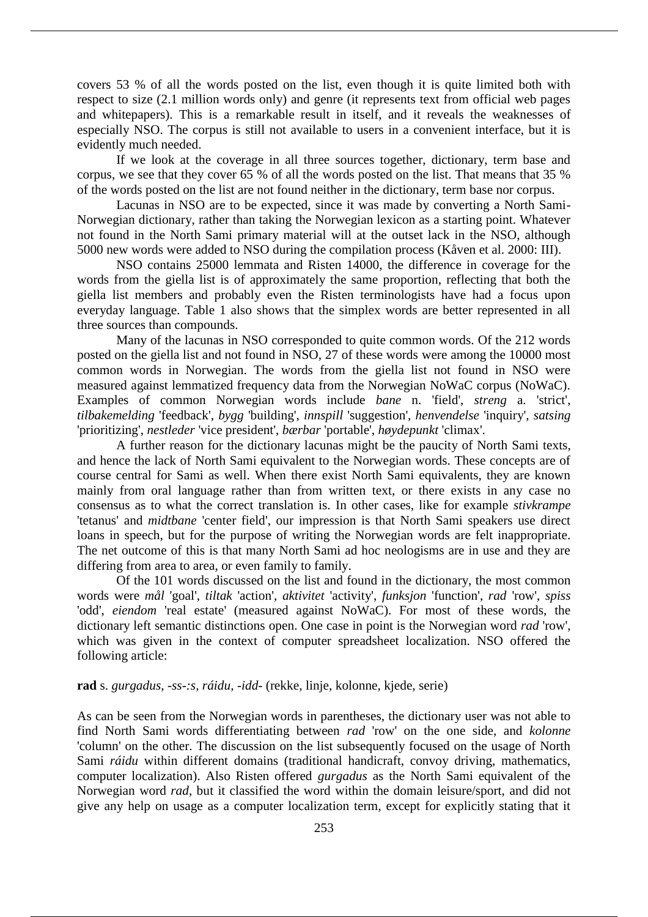covers 53 % of all the words posted on the list, even though it is quite limited both with respect to size (2.1 million words only) and genre (it represents text from official web pages and whitepapers). This is a remarkable result in itself, and it reveals the weaknesses of especially NSO. The corpus is still not available to users in a convenient interface, but it is evidently much needed.

If we look at the coverage in all three sources together, dictionary, term base and corpus, we see that they cover 65 % of all the words posted on the list. That means that 35 % of the words posted on the list are not found neither in the dictionary, term base nor corpus.

Lacunas in NSO are to be expected, since it was made by converting a North Sami-Norwegian dictionary, rather than taking the Norwegian lexicon as a starting point. Whatever not found in the North Sami primary material will at the outset lack in the NSO, although 5000 new words were added to NSO during the compilation process (Kåven et al. 2000: III).

NSO contains 25000 lemmata and Risten 14000, the difference in coverage for the words from the giella list is of approximately the same proportion, reflecting that both the giella list members and probably even the Risten terminologists have had a focus upon everyday language. Table 1 also shows that the simplex words are better represented in all three sources than compounds.

Many of the lacunas in NSO corresponded to quite common words. Of the 212 words posted on the giella list and not found in NSO, 27 of these words were among the 10000 most common words in Norwegian. The words from the giella list not found in NSO were measured against lemmatized frequency data from the Norwegian NoWaC corpus (NoWaC). Examples of common Norwegian words include *bane* n. 'field', *streng* a. 'strict', *tilbakemelding* 'feedback', *bygg* 'building', *innspill* 'suggestion', *henvendelse* 'inquiry', *satsing* 'prioritizing', *nestleder* 'vice president', *bærbar* 'portable', *høydepunkt* 'climax'.

A further reason for the dictionary lacunas might be the paucity of North Sami texts, and hence the lack of North Sami equivalent to the Norwegian words. These concepts are of course central for Sami as well. When there exist North Sami equivalents, they are known mainly from oral language rather than from written text, or there exists in any case no consensus as to what the correct translation is. In other cases, like for example *stivkrampe* 'tetanus' and *midtbane* 'center field', our impression is that North Sami speakers use direct loans in speech, but for the purpose of writing the Norwegian words are felt inappropriate. The net outcome of this is that many North Sami ad hoc neologisms are in use and they are differing from area to area, or even family to family.

Of the 101 words discussed on the list and found in the dictionary, the most common words were *mål* 'goal', *tiltak* 'action', *aktivitet* 'activity', *funksjon* 'function', *rad* 'row', *spiss* 'odd', *eiendom* 'real estate' (measured against NoWaC). For most of these words, the dictionary left semantic distinctions open. One case in point is the Norwegian word *rad* 'row', which was given in the context of computer spreadsheet localization. NSO offered the following article:

# **rad** s. *gurgadus, -ss-:s, ráidu, -idd-* (rekke, linje, kolonne, kjede, serie)

As can be seen from the Norwegian words in parentheses, the dictionary user was not able to find North Sami words differentiating between *rad* 'row' on the one side, and *kolonne* 'column' on the other. The discussion on the list subsequently focused on the usage of North Sami *ráidu* within different domains (traditional handicraft, convoy driving, mathematics, computer localization). Also Risten offered *gurgadus* as the North Sami equivalent of the Norwegian word *rad*, but it classified the word within the domain leisure/sport, and did not give any help on usage as a computer localization term, except for explicitly stating that it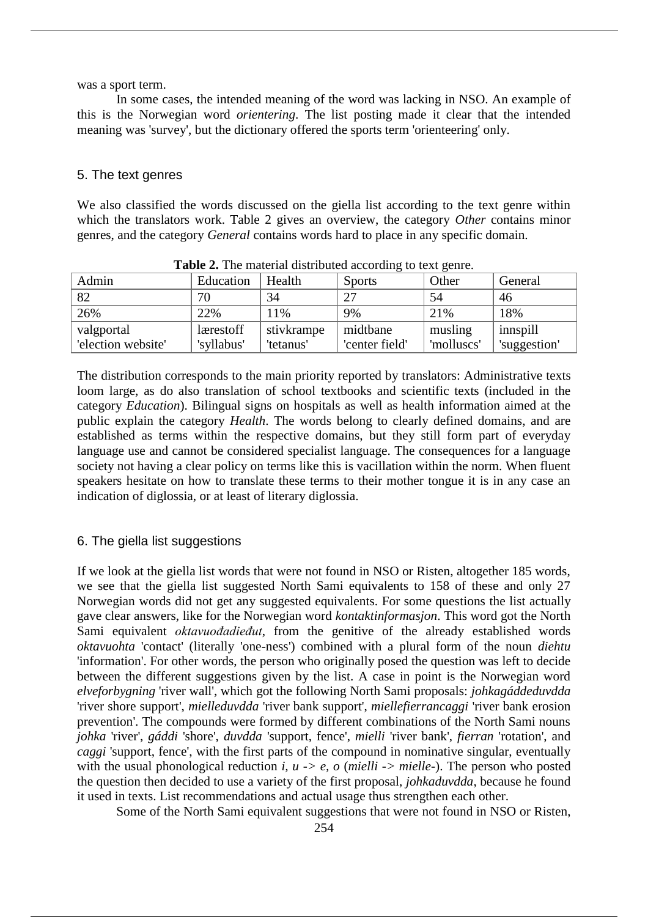was a sport term.

In some cases, the intended meaning of the word was lacking in NSO. An example of this is the Norwegian word *orientering*. The list posting made it clear that the intended meaning was 'survey', but the dictionary offered the sports term 'orienteering' only.

## 5. The text genres

We also classified the words discussed on the giella list according to the text genre within which the translators work. Table 2 gives an overview, the category *Other* contains minor genres, and the category *General* contains words hard to place in any specific domain.

| Admin              | Education  | Health     | <b>Sports</b>  | Other      | General      |
|--------------------|------------|------------|----------------|------------|--------------|
| 82                 | 70         | 34         | 27             | 54         | 46           |
| 26%                | 22%        | 11%        | 9%             | 21%        | 18%          |
| valgportal         | lærestoff  | stivkrampe | midtbane       | musling    | innspill     |
| 'election website' | 'syllabus' | 'tetanus'  | 'center field' | 'molluscs' | 'suggestion' |

**Table 2.** The material distributed according to text genre.

The distribution corresponds to the main priority reported by translators: Administrative texts loom large, as do also translation of school textbooks and scientific texts (included in the category *Education*). Bilingual signs on hospitals as well as health information aimed at the public explain the category *Health*. The words belong to clearly defined domains, and are established as terms within the respective domains, but they still form part of everyday language use and cannot be considered specialist language. The consequences for a language society not having a clear policy on terms like this is vacillation within the norm. When fluent speakers hesitate on how to translate these terms to their mother tongue it is in any case an indication of diglossia, or at least of literary diglossia.

## 6. The giella list suggestions

If we look at the giella list words that were not found in NSO or Risten, altogether 185 words, we see that the giella list suggested North Sami equivalents to 158 of these and only 27 Norwegian words did not get any suggested equivalents. For some questions the list actually gave clear answers, like for the Norwegian word *kontaktinformasjon*. This word got the North Sami equivalent *oktavuođadieđut*, from the genitive of the already established words *oktavuohta* 'contact' (literally 'one-ness') combined with a plural form of the noun *diehtu* 'information'. For other words, the person who originally posed the question was left to decide between the different suggestions given by the list. A case in point is the Norwegian word *elveforbygning* 'river wall', which got the following North Sami proposals: *johkagáddeduvdda* 'river shore support', *mielleduvdda* 'river bank support', *miellefierrancaggi* 'river bank erosion prevention'. The compounds were formed by different combinations of the North Sami nouns *johka* 'river', *gáddi* 'shore', *duvdda* 'support, fence', *mielli* 'river bank', *fierran* 'rotation', and *caggi* 'support, fence', with the first parts of the compound in nominative singular, eventually with the usual phonological reduction *i, u -> e, o* (*mielli -> mielle-*). The person who posted the question then decided to use a variety of the first proposal, *johkaduvdda*, because he found it used in texts. List recommendations and actual usage thus strengthen each other.

Some of the North Sami equivalent suggestions that were not found in NSO or Risten,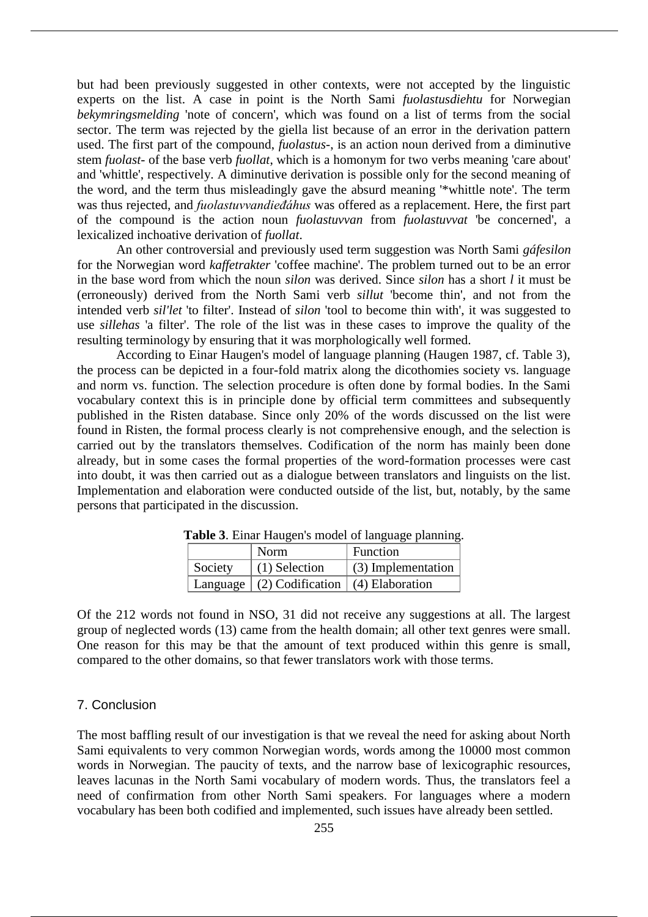but had been previously suggested in other contexts, were not accepted by the linguistic experts on the list. A case in point is the North Sami *fuolastusdiehtu* for Norwegian *bekymringsmelding* 'note of concern', which was found on a list of terms from the social sector. The term was rejected by the giella list because of an error in the derivation pattern used. The first part of the compound, *fuolastus-*, is an action noun derived from a diminutive stem *fuolast-* of the base verb *fuollat*, which is a homonym for two verbs meaning 'care about' and 'whittle', respectively. A diminutive derivation is possible only for the second meaning of the word, and the term thus misleadingly gave the absurd meaning '\*whittle note'. The term was thus rejected, and *fuolastuvvandieđáhus* was offered as a replacement. Here, the first part of the compound is the action noun *fuolastuvvan* from *fuolastuvvat* 'be concerned', a lexicalized inchoative derivation of *fuollat*.

An other controversial and previously used term suggestion was North Sami *gáfesilon* for the Norwegian word *kaffetrakter* 'coffee machine'. The problem turned out to be an error in the base word from which the noun *silon* was derived. Since *silon* has a short *l* it must be (erroneously) derived from the North Sami verb *sillut* 'become thin', and not from the intended verb *sil'let* 'to filter'. Instead of *silon* 'tool to become thin with', it was suggested to use *sillehas* 'a filter'. The role of the list was in these cases to improve the quality of the resulting terminology by ensuring that it was morphologically well formed.

According to Einar Haugen's model of language planning (Haugen 1987, cf. Table 3), the process can be depicted in a four-fold matrix along the dicothomies society vs. language and norm vs. function. The selection procedure is often done by formal bodies. In the Sami vocabulary context this is in principle done by official term committees and subsequently published in the Risten database. Since only 20% of the words discussed on the list were found in Risten, the formal process clearly is not comprehensive enough, and the selection is carried out by the translators themselves. Codification of the norm has mainly been done already, but in some cases the formal properties of the word-formation processes were cast into doubt, it was then carried out as a dialogue between translators and linguists on the list. Implementation and elaboration were conducted outside of the list, but, notably, by the same persons that participated in the discussion.

|         | Norm                                                    | <b>Tuble of Ellial Thurson</b> b moder of hardward prainting.<br>Function |
|---------|---------------------------------------------------------|---------------------------------------------------------------------------|
| Society | $(1)$ Selection                                         | $\mid$ (3) Implementation                                                 |
|         | Language $\mid$ (2) Codification $\mid$ (4) Elaboration |                                                                           |

**Table 3**. Einar Haugen's model of language planning.

Of the 212 words not found in NSO, 31 did not receive any suggestions at all. The largest group of neglected words (13) came from the health domain; all other text genres were small. One reason for this may be that the amount of text produced within this genre is small, compared to the other domains, so that fewer translators work with those terms.

#### 7. Conclusion

The most baffling result of our investigation is that we reveal the need for asking about North Sami equivalents to very common Norwegian words, words among the 10000 most common words in Norwegian. The paucity of texts, and the narrow base of lexicographic resources, leaves lacunas in the North Sami vocabulary of modern words. Thus, the translators feel a need of confirmation from other North Sami speakers. For languages where a modern vocabulary has been both codified and implemented, such issues have already been settled.